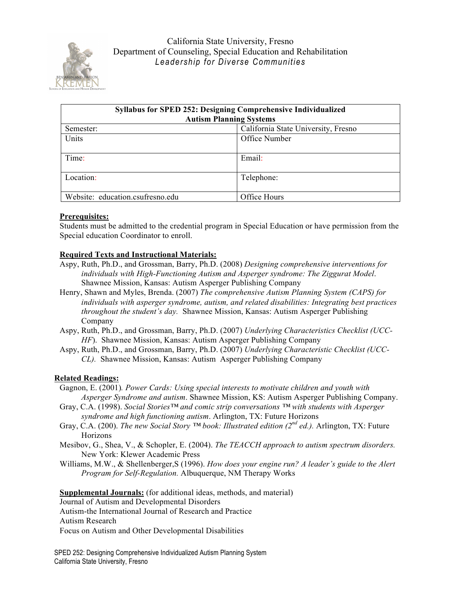

| <b>Syllabus for SPED 252: Designing Comprehensive Individualized</b> |                                     |  |  |
|----------------------------------------------------------------------|-------------------------------------|--|--|
| <b>Autism Planning Systems</b>                                       |                                     |  |  |
| Semester:                                                            | California State University, Fresno |  |  |
| Units                                                                | Office Number                       |  |  |
| Time:                                                                | Email:                              |  |  |
| Location:                                                            | Telephone:                          |  |  |
| Website: education.csufresno.edu                                     | Office Hours                        |  |  |

### **Prerequisites:**

Students must be admitted to the credential program in Special Education or have permission from the Special education Coordinator to enroll.

# **Required Texts and Instructional Materials:**

- Aspy, Ruth, Ph.D., and Grossman, Barry, Ph.D. (2008) *Designing comprehensive interventions for individuals with High-Functioning Autism and Asperger syndrome: The Ziggurat Model*. Shawnee Mission, Kansas: Autism Asperger Publishing Company
- Henry, Shawn and Myles, Brenda. (2007) *The comprehensive Autism Planning System (CAPS) for individuals with asperger syndrome, autism, and related disabilities: Integrating best practices throughout the student's day.* Shawnee Mission, Kansas: Autism Asperger Publishing Company
- Aspy, Ruth, Ph.D., and Grossman, Barry, Ph.D. (2007) *Underlying Characteristics Checklist (UCC-HF*). Shawnee Mission, Kansas: Autism Asperger Publishing Company
- Aspy, Ruth, Ph.D., and Grossman, Barry, Ph.D. (2007) *Underlying Characteristic Checklist (UCC-CL).* Shawnee Mission, Kansas: Autism Asperger Publishing Company

# **Related Readings:**

- Gagnon, E. (2001)*. Power Cards: Using special interests to motivate children and youth with Asperger Syndrome and autism*. Shawnee Mission, KS: Autism Asperger Publishing Company.
- Gray, C.A. (1998). *Social Stories™ and comic strip conversations ™ with students with Asperger syndrome and high functioning autism*. Arlington, TX: Future Horizons
- Gray, C.A. (200). *The new Social Story ™ book: Illustrated edition (2nd ed.).* Arlington, TX: Future Horizons
- Mesibov, G., Shea, V., & Schopler, E. (2004). *The TEACCH approach to autism spectrum disorders.*  New York: Klewer Academic Press
- Williams, M.W., & Shellenberger,S (1996). *How does your engine run? A leader's guide to the Alert Program for Self-Regulation.* Albuquerque, NM Therapy Works

**Supplemental Journals:** (for additional ideas, methods, and material) Journal of Autism and Developmental Disorders Autism-the International Journal of Research and Practice Autism Research Focus on Autism and Other Developmental Disabilities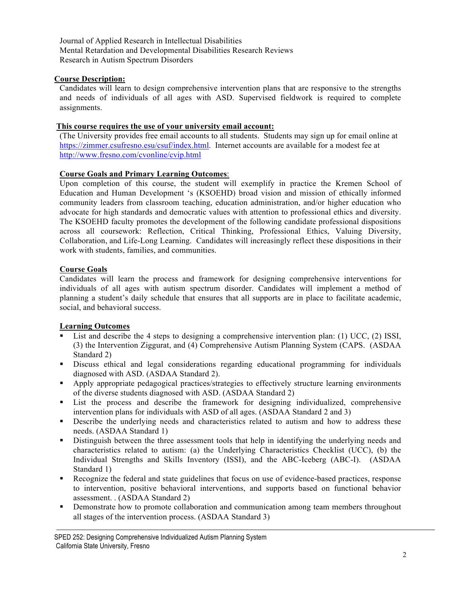Journal of Applied Research in Intellectual Disabilities Mental Retardation and Developmental Disabilities Research Reviews Research in Autism Spectrum Disorders

### **Course Description:**

Candidates will learn to design comprehensive intervention plans that are responsive to the strengths and needs of individuals of all ages with ASD. Supervised fieldwork is required to complete assignments.

### **This course requires the use of your university email account:**

(The University provides free email accounts to all students. Students may sign up for email online at https://zimmer.csufresno.esu/csuf/index.html. Internet accounts are available for a modest fee at http://www.fresno.com/cvonline/cvip.html

### **Course Goals and Primary Learning Outcomes**:

Upon completion of this course, the student will exemplify in practice the Kremen School of Education and Human Development 's (KSOEHD) broad vision and mission of ethically informed community leaders from classroom teaching, education administration, and/or higher education who advocate for high standards and democratic values with attention to professional ethics and diversity. The KSOEHD faculty promotes the development of the following candidate professional dispositions across all coursework: Reflection, Critical Thinking, Professional Ethics, Valuing Diversity, Collaboration, and Life-Long Learning. Candidates will increasingly reflect these dispositions in their work with students, families, and communities.

### **Course Goals**

Candidates will learn the process and framework for designing comprehensive interventions for individuals of all ages with autism spectrum disorder. Candidates will implement a method of planning a student's daily schedule that ensures that all supports are in place to facilitate academic, social, and behavioral success.

### **Learning Outcomes**

- List and describe the 4 steps to designing a comprehensive intervention plan: (1) UCC, (2) ISSI, (3) the Intervention Ziggurat, and (4) Comprehensive Autism Planning System (CAPS. (ASDAA Standard 2)
- Discuss ethical and legal considerations regarding educational programming for individuals diagnosed with ASD. (ASDAA Standard 2).
- Apply appropriate pedagogical practices/strategies to effectively structure learning environments of the diverse students diagnosed with ASD. (ASDAA Standard 2)
- List the process and describe the framework for designing individualized, comprehensive intervention plans for individuals with ASD of all ages. (ASDAA Standard 2 and 3)
- **Describe the underlying needs and characteristics related to autism and how to address these** needs. (ASDAA Standard 1)
- Distinguish between the three assessment tools that help in identifying the underlying needs and characteristics related to autism: (a) the Underlying Characteristics Checklist (UCC), (b) the Individual Strengths and Skills Inventory (ISSI), and the ABC-Iceberg (ABC-I). (ASDAA Standard 1)
- Recognize the federal and state guidelines that focus on use of evidence-based practices, response to intervention, positive behavioral interventions, and supports based on functional behavior assessment. . (ASDAA Standard 2)
- Demonstrate how to promote collaboration and communication among team members throughout all stages of the intervention process. (ASDAA Standard 3)

SPED 252: Designing Comprehensive Individualized Autism Planning System California State University, Fresno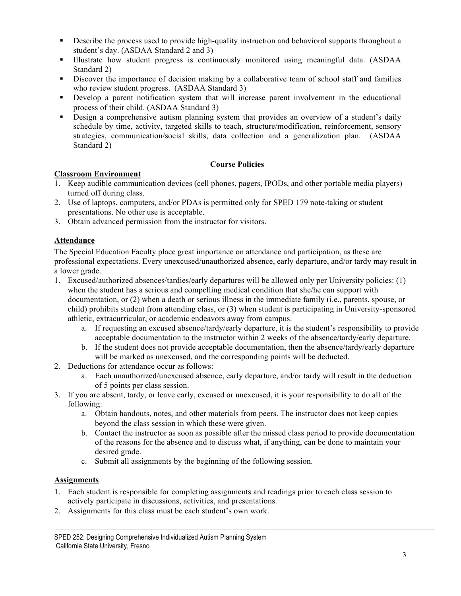- **•** Describe the process used to provide high-quality instruction and behavioral supports throughout a student's day. (ASDAA Standard 2 and 3)
- Illustrate how student progress is continuously monitored using meaningful data. (ASDAA Standard 2)
- Discover the importance of decision making by a collaborative team of school staff and families who review student progress. (ASDAA Standard 3)
- Develop a parent notification system that will increase parent involvement in the educational process of their child. (ASDAA Standard 3)
- Design a comprehensive autism planning system that provides an overview of a student's daily schedule by time, activity, targeted skills to teach, structure/modification, reinforcement, sensory strategies, communication/social skills, data collection and a generalization plan. (ASDAA Standard 2)

# **Course Policies**

# **Classroom Environment**

- 1. Keep audible communication devices (cell phones, pagers, IPODs, and other portable media players) turned off during class.
- 2. Use of laptops, computers, and/or PDAs is permitted only for SPED 179 note-taking or student presentations. No other use is acceptable.
- 3. Obtain advanced permission from the instructor for visitors.

# **Attendance**

The Special Education Faculty place great importance on attendance and participation, as these are professional expectations. Every unexcused/unauthorized absence, early departure, and/or tardy may result in a lower grade.

- 1. Excused/authorized absences/tardies/early departures will be allowed only per University policies: (1) when the student has a serious and compelling medical condition that she/he can support with documentation, or (2) when a death or serious illness in the immediate family (i.e., parents, spouse, or child) prohibits student from attending class, or (3) when student is participating in University-sponsored athletic, extracurricular, or academic endeavors away from campus.
	- a. If requesting an excused absence/tardy/early departure, it is the student's responsibility to provide acceptable documentation to the instructor within 2 weeks of the absence/tardy/early departure.
	- b. If the student does not provide acceptable documentation, then the absence/tardy/early departure will be marked as unexcused, and the corresponding points will be deducted.
- 2. Deductions for attendance occur as follows:
	- a. Each unauthorized/unexcused absence, early departure, and/or tardy will result in the deduction of 5 points per class session.
- 3. If you are absent, tardy, or leave early, excused or unexcused, it is your responsibility to do all of the following:
	- a. Obtain handouts, notes, and other materials from peers. The instructor does not keep copies beyond the class session in which these were given.
	- b. Contact the instructor as soon as possible after the missed class period to provide documentation of the reasons for the absence and to discuss what, if anything, can be done to maintain your desired grade.
	- c. Submit all assignments by the beginning of the following session.

# **Assignments**

- 1. Each student is responsible for completing assignments and readings prior to each class session to actively participate in discussions, activities, and presentations.
- 2. Assignments for this class must be each student's own work.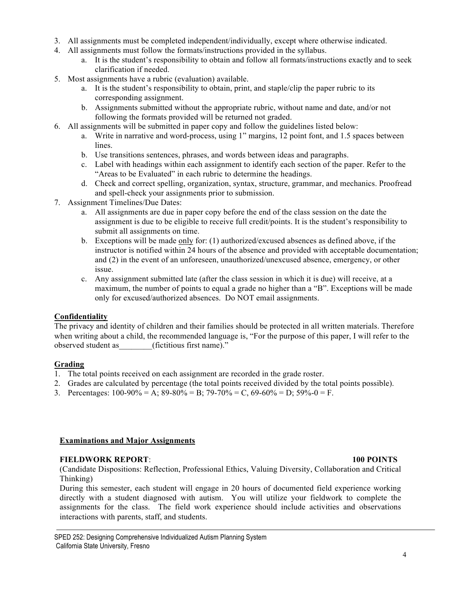- 3. All assignments must be completed independent/individually, except where otherwise indicated.
- 4. All assignments must follow the formats/instructions provided in the syllabus.
	- a. It is the student's responsibility to obtain and follow all formats/instructions exactly and to seek clarification if needed.
- 5. Most assignments have a rubric (evaluation) available.
	- a. It is the student's responsibility to obtain, print, and staple/clip the paper rubric to its corresponding assignment.
	- b. Assignments submitted without the appropriate rubric, without name and date, and/or not following the formats provided will be returned not graded.
- 6. All assignments will be submitted in paper copy and follow the guidelines listed below:
	- a. Write in narrative and word-process, using 1" margins, 12 point font, and 1.5 spaces between lines.
	- b. Use transitions sentences, phrases, and words between ideas and paragraphs.
	- c. Label with headings within each assignment to identify each section of the paper. Refer to the "Areas to be Evaluated" in each rubric to determine the headings.
	- d. Check and correct spelling, organization, syntax, structure, grammar, and mechanics. Proofread and spell-check your assignments prior to submission.
- 7. Assignment Timelines/Due Dates:
	- a. All assignments are due in paper copy before the end of the class session on the date the assignment is due to be eligible to receive full credit/points. It is the student's responsibility to submit all assignments on time.
	- b. Exceptions will be made only for: (1) authorized/excused absences as defined above, if the instructor is notified within 24 hours of the absence and provided with acceptable documentation; and (2) in the event of an unforeseen, unauthorized/unexcused absence, emergency, or other issue.
	- c. Any assignment submitted late (after the class session in which it is due) will receive, at a maximum, the number of points to equal a grade no higher than a "B". Exceptions will be made only for excused/authorized absences. Do NOT email assignments.

# **Confidentiality**

The privacy and identity of children and their families should be protected in all written materials. Therefore when writing about a child, the recommended language is, "For the purpose of this paper, I will refer to the observed student as (fictitious first name)."

# **Grading**

- 1. The total points received on each assignment are recorded in the grade roster.
- 2. Grades are calculated by percentage (the total points received divided by the total points possible).
- 3. Percentages:  $100-90\% = A$ ;  $89-80\% = B$ ;  $79-70\% = C$ ,  $69-60\% = D$ ;  $59\% = 0 = F$ .

#### **Examinations and Major Assignments**

# **FIELDWORK REPORT**: **100 POINTS**

(Candidate Dispositions: Reflection, Professional Ethics, Valuing Diversity, Collaboration and Critical Thinking)

During this semester, each student will engage in 20 hours of documented field experience working directly with a student diagnosed with autism. You will utilize your fieldwork to complete the assignments for the class. The field work experience should include activities and observations interactions with parents, staff, and students.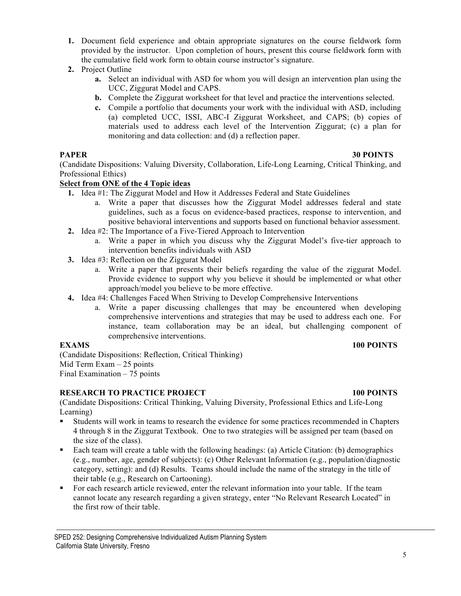- **1.** Document field experience and obtain appropriate signatures on the course fieldwork form provided by the instructor. Upon completion of hours, present this course fieldwork form with the cumulative field work form to obtain course instructor's signature.
- **2.** Project Outline
	- **a.** Select an individual with ASD for whom you will design an intervention plan using the UCC, Ziggurat Model and CAPS.
	- **b.** Complete the Ziggurat worksheet for that level and practice the interventions selected.
	- **c.** Compile a portfolio that documents your work with the individual with ASD, including (a) completed UCC, ISSI, ABC-I Ziggurat Worksheet, and CAPS; (b) copies of materials used to address each level of the Intervention Ziggurat; (c) a plan for monitoring and data collection: and (d) a reflection paper.

# **PAPER 30 POINTS**

(Candidate Dispositions: Valuing Diversity, Collaboration, Life-Long Learning, Critical Thinking, and Professional Ethics)

# **Select from ONE of the 4 Topic ideas**

- **1.** Idea #1: The Ziggurat Model and How it Addresses Federal and State Guidelines
	- a. Write a paper that discusses how the Ziggurat Model addresses federal and state guidelines, such as a focus on evidence-based practices, response to intervention, and positive behavioral interventions and supports based on functional behavior assessment.
- **2.** Idea #2: The Importance of a Five-Tiered Approach to Intervention
	- a. Write a paper in which you discuss why the Ziggurat Model's five-tier approach to intervention benefits individuals with ASD
- **3.** Idea #3: Reflection on the Ziggurat Model
	- a. Write a paper that presents their beliefs regarding the value of the ziggurat Model. Provide evidence to support why you believe it should be implemented or what other approach/model you believe to be more effective.
- **4.** Idea #4: Challenges Faced When Striving to Develop Comprehensive Interventions
	- a. Write a paper discussing challenges that may be encountered when developing comprehensive interventions and strategies that may be used to address each one. For instance, team collaboration may be an ideal, but challenging component of comprehensive interventions.

#### **EXAMS 100 POINTS**

(Candidate Dispositions: Reflection, Critical Thinking) Mid Term Exam – 25 points Final Examination – 75 points

# **RESEARCH TO PRACTICE PROJECT 100 POINTS**

(Candidate Dispositions: Critical Thinking, Valuing Diversity, Professional Ethics and Life-Long Learning)

- Students will work in teams to research the evidence for some practices recommended in Chapters 4 through 8 in the Ziggurat Textbook. One to two strategies will be assigned per team (based on the size of the class).
- Each team will create a table with the following headings: (a) Article Citation: (b) demographics (e.g., number, age, gender of subjects): (c) Other Relevant Information (e.g., population/diagnostic category, setting): and (d) Results. Teams should include the name of the strategy in the title of their table (e.g., Research on Cartooning).
- For each research article reviewed, enter the relevant information into your table. If the team cannot locate any research regarding a given strategy, enter "No Relevant Research Located" in the first row of their table.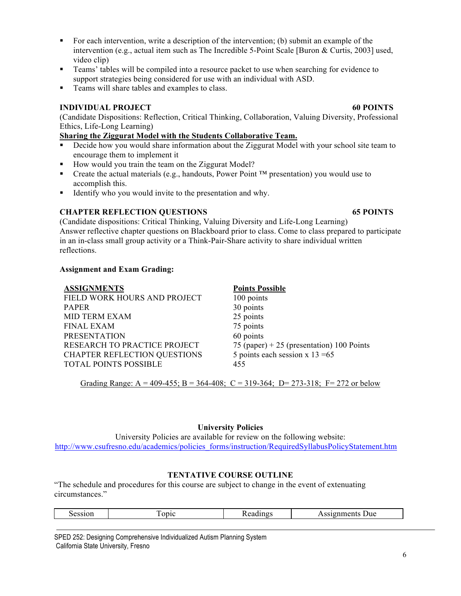- For each intervention, write a description of the intervention; (b) submit an example of the intervention (e.g., actual item such as The Incredible 5-Point Scale [Buron & Curtis, 2003] used, video clip)
- Teams' tables will be compiled into a resource packet to use when searching for evidence to support strategies being considered for use with an individual with ASD.
- Teams will share tables and examples to class.

# **INDIVIDUAL PROJECT 60 POINTS**

(Candidate Dispositions: Reflection, Critical Thinking, Collaboration, Valuing Diversity, Professional Ethics, Life-Long Learning)

# **Sharing the Ziggurat Model with the Students Collaborative Team.**

- **Decide how you would share information about the Ziggurat Model with your school site team to** encourage them to implement it
- How would you train the team on the Ziggurat Model?
- Create the actual materials (e.g., handouts, Power Point ™ presentation) you would use to accomplish this.
- Identify who you would invite to the presentation and why.

# **CHAPTER REFLECTION QUESTIONS 65 POINTS**

(Candidate dispositions: Critical Thinking, Valuing Diversity and Life-Long Learning) Answer reflective chapter questions on Blackboard prior to class. Come to class prepared to participate in an in-class small group activity or a Think-Pair-Share activity to share individual written reflections.

# **Assignment and Exam Grading:**

| <b>ASSIGNMENTS</b>           | <b>Points Possible</b>                    |
|------------------------------|-------------------------------------------|
| FIELD WORK HOURS AND PROJECT | 100 points                                |
| <b>PAPER</b>                 | 30 points                                 |
| <b>MID TERM EXAM</b>         | 25 points                                 |
| <b>FINAL EXAM</b>            | 75 points                                 |
| <b>PRESENTATION</b>          | 60 points                                 |
| RESEARCH TO PRACTICE PROJECT | 75 (paper) + 25 (presentation) 100 Points |
| CHAPTER REFLECTION QUESTIONS | 5 points each session $x$ 13 = 65         |
| <b>TOTAL POINTS POSSIBLE</b> | 455                                       |
|                              |                                           |

Grading Range: A = 409-455; B = 364-408; C = 319-364; D= 273-318; F= 272 or below

# **University Policies**

University Policies are available for review on the following website: http://www.csufresno.edu/academics/policies\_forms/instruction/RequiredSyllabusPolicyStatement.htm

# **TENTATIVE COURSE OUTLINE**

"The schedule and procedures for this course are subject to change in the event of extenuating circumstances."

| Session<br>. | opic | $-1$<br>.<br>.<br>ıng<br>∽и. | Due<br>gnments<br>$\sim$ $\sim$<br>the contract of the contract of the contract of the contract of the contract of |
|--------------|------|------------------------------|--------------------------------------------------------------------------------------------------------------------|
|              |      |                              |                                                                                                                    |

SPED 252: Designing Comprehensive Individualized Autism Planning System California State University, Fresno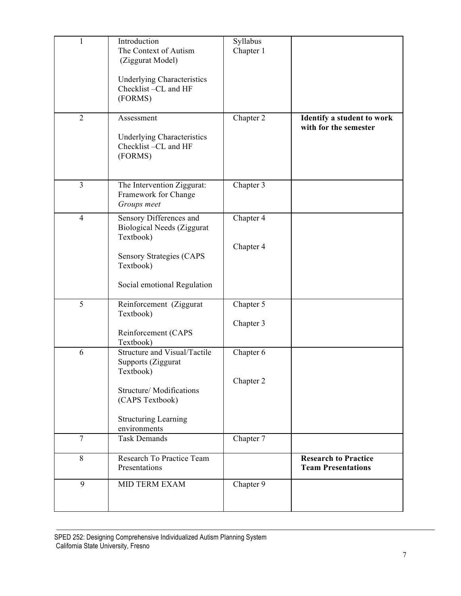| $\mathbf{1}$   | Introduction<br>The Context of Autism<br>(Ziggurat Model)<br><b>Underlying Characteristics</b><br>Checklist-CL and HF                                               | Syllabus<br>Chapter 1  |                                                          |
|----------------|---------------------------------------------------------------------------------------------------------------------------------------------------------------------|------------------------|----------------------------------------------------------|
| $\overline{2}$ | (FORMS)<br>Assessment                                                                                                                                               | Chapter 2              | Identify a student to work<br>with for the semester      |
|                | <b>Underlying Characteristics</b><br>Checklist-CL and HF<br>(FORMS)                                                                                                 |                        |                                                          |
| $\overline{3}$ | The Intervention Ziggurat:<br>Framework for Change<br>Groups meet                                                                                                   | Chapter 3              |                                                          |
| $\overline{4}$ | Sensory Differences and<br><b>Biological Needs (Ziggurat</b><br>Textbook)<br><b>Sensory Strategies (CAPS</b><br>Textbook)                                           | Chapter 4<br>Chapter 4 |                                                          |
|                | Social emotional Regulation                                                                                                                                         |                        |                                                          |
| 5              | Reinforcement (Ziggurat<br>Textbook)<br>Reinforcement (CAPS<br>Textbook)                                                                                            | Chapter 5<br>Chapter 3 |                                                          |
| 6              | Structure and Visual/Tactile<br>Supports (Ziggurat<br>Textbook)<br><b>Structure/Modifications</b><br>(CAPS Textbook)<br><b>Structuring Learning</b><br>environments | Chapter 6<br>Chapter 2 |                                                          |
| $\overline{7}$ | <b>Task Demands</b>                                                                                                                                                 | Chapter 7              |                                                          |
| 8              | Research To Practice Team<br>Presentations                                                                                                                          |                        | <b>Research to Practice</b><br><b>Team Presentations</b> |
| 9              | <b>MID TERM EXAM</b>                                                                                                                                                | Chapter 9              |                                                          |